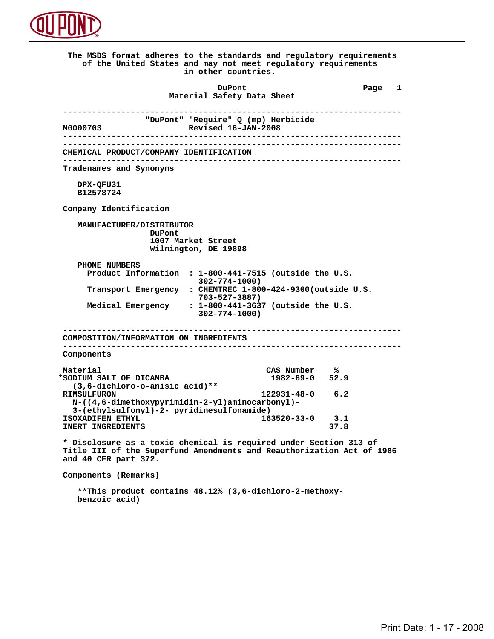

 **The MSDS format adheres to the standards and regulatory requirements of the United States and may not meet regulatory requirements in other countries. DuPont Different Page 1 Material Safety Data Sheet ---------------------------------------------------------------------- "DuPont" "Require" Q (mp) Herbicide M0000703 Revised 16-JAN-2008 ---------------------------------------------------------------------- ---------------------------------------------------------------------- CHEMICAL PRODUCT/COMPANY IDENTIFICATION ---------------------------------------------------------------------- Tradenames and Synonyms DPX-QFU31 B12578724 Company Identification MANUFACTURER/DISTRIBUTOR DuPont 1007 Market Street Wilmington, DE 19898 PHONE NUMBERS Product Information : 1-800-441-7515 (outside the U.S. 302-774-1000) Transport Emergency : CHEMTREC 1-800-424-9300(outside U.S. 703-527-3887) Medical Emergency : 1-800-441-3637 (outside the U.S. 302-774-1000) ---------------------------------------------------------------------- COMPOSITION/INFORMATION ON INGREDIENTS ---------------------------------------------------------------------- Components** Material CAS Number % **8**<br> **EXECUTE:** SODIUM SALT OF DICAMBA \*SODIUM SALT OF DICAMBA  **(3,6-dichloro-o-anisic acid)\*\* RIMSULFURON 122931-48-0 6.2 N-((4,6-dimethoxypyrimidin-2-yl)aminocarbonyl)- 3-(ethylsulfonyl)-2- pyridinesulfonamide) ISOXADIFEN ETHYL** 163520-33-0 3.1<br> **INERT INGREDIENTS** 37.8 **INERT INGREDIENTS \* Disclosure as a toxic chemical is required under Section 313 of Title III of the Superfund Amendments and Reauthorization Act of 1986 and 40 CFR part 372. Components (Remarks)**

> **\*\*This product contains 48.12% (3,6-dichloro-2-methoxy benzoic acid)**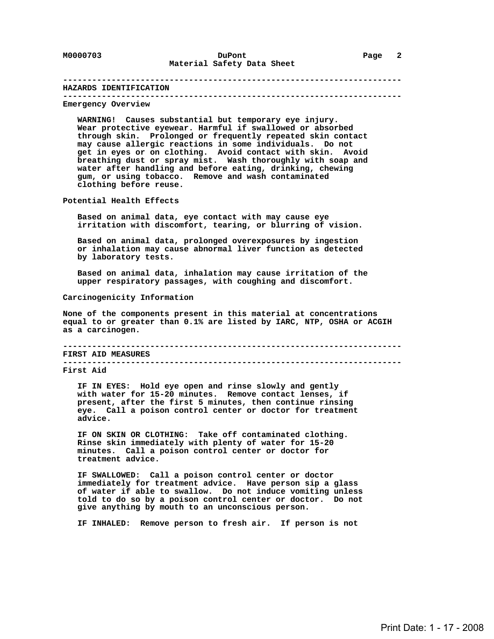#### **---------------------------------------------------------------------- HAZARDS IDENTIFICATION ----------------------------------------------------------------------**

#### **Emergency Overview**

 **WARNING! Causes substantial but temporary eye injury. Wear protective eyewear. Harmful if swallowed or absorbed through skin. Prolonged or frequently repeated skin contact may cause allergic reactions in some individuals. Do not get in eyes or on clothing. Avoid contact with skin. Avoid breathing dust or spray mist. Wash thoroughly with soap and water after handling and before eating, drinking, chewing gum, or using tobacco. Remove and wash contaminated clothing before reuse.**

 **Potential Health Effects**

 **Based on animal data, eye contact with may cause eye irritation with discomfort, tearing, or blurring of vision.**

 **Based on animal data, prolonged overexposures by ingestion or inhalation may cause abnormal liver function as detected by laboratory tests.**

 **Based on animal data, inhalation may cause irritation of the upper respiratory passages, with coughing and discomfort.**

 **Carcinogenicity Information**

 **None of the components present in this material at concentrations equal to or greater than 0.1% are listed by IARC, NTP, OSHA or ACGIH as a carcinogen.**

 **---------------------------------------------------------------------- FIRST AID MEASURES ---------------------------------------------------------------------- First Aid**

 **IF IN EYES: Hold eye open and rinse slowly and gently with water for 15-20 minutes. Remove contact lenses, if present, after the first 5 minutes, then continue rinsing eye. Call a poison control center or doctor for treatment advice.**

 **IF ON SKIN OR CLOTHING: Take off contaminated clothing. Rinse skin immediately with plenty of water for 15-20 minutes. Call a poison control center or doctor for treatment advice.**

 **IF SWALLOWED: Call a poison control center or doctor immediately for treatment advice. Have person sip a glass of water if able to swallow. Do not induce vomiting unless told to do so by a poison control center or doctor. Do not give anything by mouth to an unconscious person.**

 **IF INHALED: Remove person to fresh air. If person is not**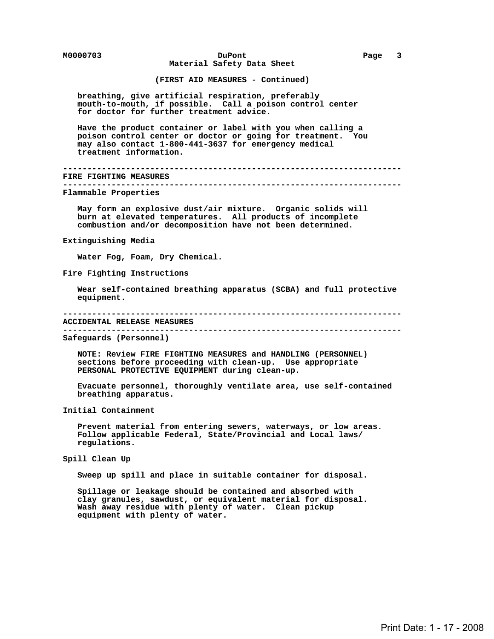**M0000703 DuPont Page 3 Material Safety Data Sheet**

 **(FIRST AID MEASURES - Continued)**

 **breathing, give artificial respiration, preferably mouth-to-mouth, if possible. Call a poison control center for doctor for further treatment advice.**

 **Have the product container or label with you when calling a poison control center or doctor or going for treatment. You may also contact 1-800-441-3637 for emergency medical treatment information.**

 **---------------------------------------------------------------------- FIRE FIGHTING MEASURES ----------------------------------------------------------------------**

 **Flammable Properties**

 **May form an explosive dust/air mixture. Organic solids will burn at elevated temperatures. All products of incomplete combustion and/or decomposition have not been determined.**

### **Extinguishing Media**

 **Water Fog, Foam, Dry Chemical.**

 **Fire Fighting Instructions**

 **Wear self-contained breathing apparatus (SCBA) and full protective equipment.**

#### **----------------------------------------------------------------------**

 **ACCIDENTAL RELEASE MEASURES ----------------------------------------------------------------------**

 **Safeguards (Personnel)**

 **NOTE: Review FIRE FIGHTING MEASURES and HANDLING (PERSONNEL) sections before proceeding with clean-up. Use appropriate PERSONAL PROTECTIVE EQUIPMENT during clean-up.**

 **Evacuate personnel, thoroughly ventilate area, use self-contained breathing apparatus.**

 **Initial Containment**

 **Prevent material from entering sewers, waterways, or low areas. Follow applicable Federal, State/Provincial and Local laws/ regulations.**

 **Spill Clean Up**

 **Sweep up spill and place in suitable container for disposal.**

 **Spillage or leakage should be contained and absorbed with clay granules, sawdust, or equivalent material for disposal. Wash away residue with plenty of water. Clean pickup equipment with plenty of water.**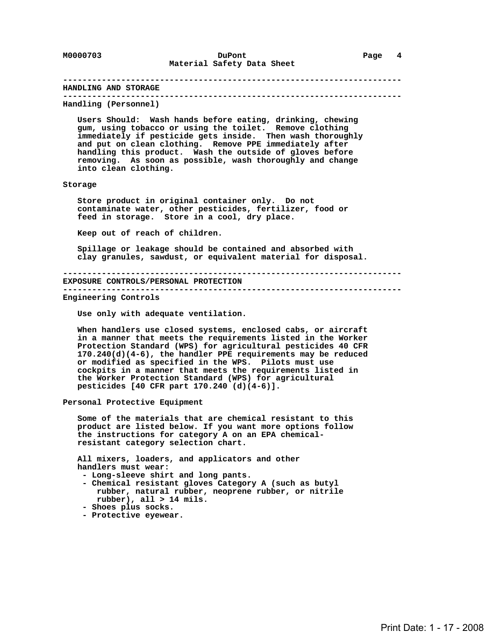## **---------------------------------------------------------------------- HANDLING AND STORAGE ---------------------------------------------------------------------- Handling (Personnel) Users Should: Wash hands before eating, drinking, chewing gum, using tobacco or using the toilet. Remove clothing immediately if pesticide gets inside. Then wash thoroughly and put on clean clothing. Remove PPE immediately after handling this product. Wash the outside of gloves before removing. As soon as possible, wash thoroughly and change into clean clothing. Storage Store product in original container only. Do not contaminate water, other pesticides, fertilizer, food or feed in storage. Store in a cool, dry place. Keep out of reach of children. Spillage or leakage should be contained and absorbed with clay granules, sawdust, or equivalent material for disposal. ---------------------------------------------------------------------- EXPOSURE CONTROLS/PERSONAL PROTECTION ---------------------------------------------------------------------- Engineering Controls Use only with adequate ventilation. When handlers use closed systems, enclosed cabs, or aircraft in a manner that meets the requirements listed in the Worker Protection Standard (WPS) for agricultural pesticides 40 CFR 170.240(d)(4-6), the handler PPE requirements may be reduced or modified as specified in the WPS. Pilots must use cockpits in a manner that meets the requirements listed in the Worker Protection Standard (WPS) for agricultural pesticides [40 CFR part 170.240 (d)(4-6)]. Personal Protective Equipment Some of the materials that are chemical resistant to this product are listed below. If you want more options follow the instructions for category A on an EPA chemical resistant category selection chart. All mixers, loaders, and applicators and other handlers must wear: - Long-sleeve shirt and long pants. - Chemical resistant gloves Category A (such as butyl rubber, natural rubber, neoprene rubber, or nitrile rubber), all > 14 mils.**

- **Shoes plus socks.**
- **Protective eyewear.**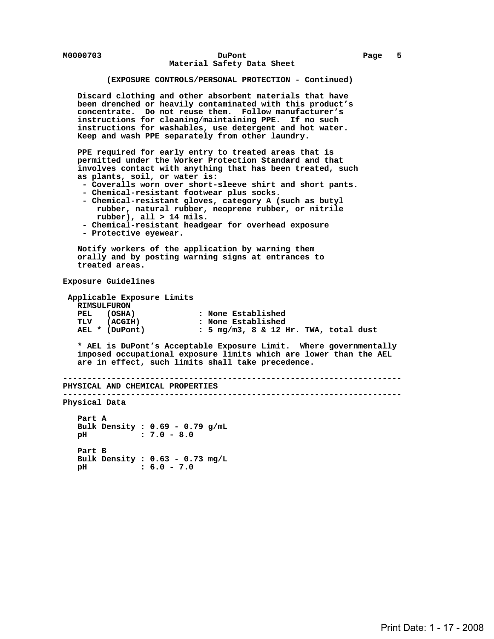## **(EXPOSURE CONTROLS/PERSONAL PROTECTION - Continued)**

 **Discard clothing and other absorbent materials that have been drenched or heavily contaminated with this product's concentrate. Do not reuse them. Follow manufacturer's instructions for cleaning/maintaining PPE. If no such instructions for washables, use detergent and hot water. Keep and wash PPE separately from other laundry.**

 **PPE required for early entry to treated areas that is permitted under the Worker Protection Standard and that involves contact with anything that has been treated, such as plants, soil, or water is:**

- **Coveralls worn over short-sleeve shirt and short pants.**
- **Chemical-resistant footwear plus socks.**
- **Chemical-resistant gloves, category A (such as butyl rubber, natural rubber, neoprene rubber, or nitrile rubber), all > 14 mils.**
- **Chemical-resistant headgear for overhead exposure**
- **Protective eyewear.**

 **Notify workers of the application by warning them orally and by posting warning signs at entrances to treated areas.**

 **Exposure Guidelines**

```
 Applicable Exposure Limits
  RIMSULFURON
                                 : None Established
 TLV (ACGIH) : None Established<br>AEL * (DuPont) : 5 mg/m3, 8 & 12 l
                                 AEL * (DuPont) : 5 mg/m3, 8 & 12 Hr. TWA, total dust
```
 **\* AEL is DuPont's Acceptable Exposure Limit. Where governmentally imposed occupational exposure limits which are lower than the AEL are in effect, such limits shall take precedence.**

```
 ----------------------------------------------------------------------
PHYSICAL AND CHEMICAL PROPERTIES
----------------------------------------------------------------------
Physical Data
   Part A
```
 **Bulk Density : 0.69 - 0.79 g/mL pH : 7.0 - 8.0 Part B Bulk Density : 0.63 - 0.73 mg/L pH : 6.0 - 7.0**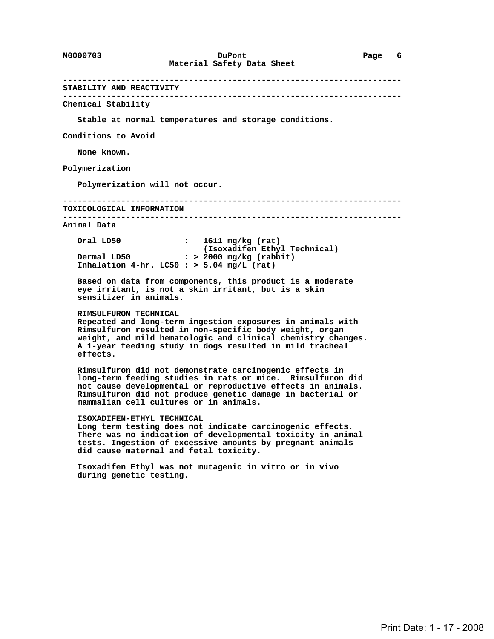# **---------------------------------------------------------------------- STABILITY AND REACTIVITY ---------------------------------------------------------------------- Chemical Stability Stable at normal temperatures and storage conditions. Conditions to Avoid None known. Polymerization Polymerization will not occur. ---------------------------------------------------------------------- TOXICOLOGICAL INFORMATION ---------------------------------------------------------------------- Animal Data Oral LD50 : 1611 mg/kg (rat)** (Isoxadifen Ethyl Technical)<br>Dermal LD50 **(1991)** : > 2000 mg/kg (rabbit)  **Dermal LD50 : > 2000 mg/kg (rabbit) Inhalation 4-hr. LC50 : > 5.04 mg/L (rat) Based on data from components, this product is a moderate eye irritant, is not a skin irritant, but is a skin sensitizer in animals. RIMSULFURON TECHNICAL Repeated and long-term ingestion exposures in animals with Rimsulfuron resulted in non-specific body weight, organ weight, and mild hematologic and clinical chemistry changes. A 1-year feeding study in dogs resulted in mild tracheal effects. Rimsulfuron did not demonstrate carcinogenic effects in long-term feeding studies in rats or mice. Rimsulfuron did not cause developmental or reproductive effects in animals. Rimsulfuron did not produce genetic damage in bacterial or mammalian cell cultures or in animals. ISOXADIFEN-ETHYL TECHNICAL Long term testing does not indicate carcinogenic effects. There was no indication of developmental toxicity in animal tests. Ingestion of excessive amounts by pregnant animals did cause maternal and fetal toxicity. Isoxadifen Ethyl was not mutagenic in vitro or in vivo during genetic testing.**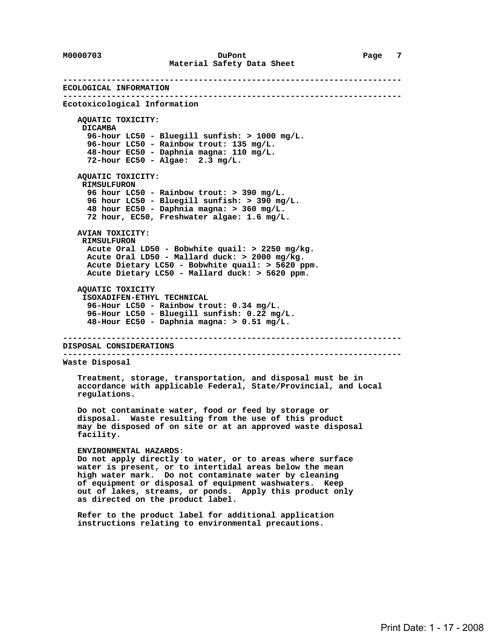**---------------------------------------------------------------------- ECOLOGICAL INFORMATION ---------------------------------------------------------------------- Ecotoxicological Information AQUATIC TOXICITY: DICAMBA 96-hour LC50 - Bluegill sunfish: > 1000 mg/L. 96-hour LC50 - Rainbow trout: 135 mg/L. 48-hour EC50 - Daphnia magna: 110 mg/L. 72-hour EC50 - Algae: 2.3 mg/L. AQUATIC TOXICITY: RIMSULFURON 96 hour LC50 - Rainbow trout: > 390 mg/L. 96 hour LC50 - Bluegill sunfish: > 390 mg/L. 48 hour EC50 - Daphnia magna: > 360 mg/L. 72 hour, EC50, Freshwater algae: 1.6 mg/L. AVIAN TOXICITY: RIMSULFURON Acute Oral LD50 - Bobwhite quail: > 2250 mg/kg. Acute Oral LD50 - Mallard duck: > 2000 mg/kg. Acute Dietary LC50 - Bobwhite quail: > 5620 ppm. Acute Dietary LC50 - Mallard duck: > 5620 ppm. AQUATIC TOXICITY ISOXADIFEN-ETHYL TECHNICAL 96-Hour LC50 - Rainbow trout: 0.34 mg/L. 96-Hour LC50 - Bluegill sunfish: 0.22 mg/L. 48-Hour EC50 - Daphnia magna: > 0.51 mg/L. ---------------------------------------------------------------------- DISPOSAL CONSIDERATIONS ---------------------------------------------------------------------- Waste Disposal Treatment, storage, transportation, and disposal must be in accordance with applicable Federal, State/Provincial, and Local regulations. Do not contaminate water, food or feed by storage or disposal. Waste resulting from the use of this product may be disposed of on site or at an approved waste disposal facility. ENVIRONMENTAL HAZARDS: Do not apply directly to water, or to areas where surface water is present, or to intertidal areas below the mean high water mark. Do not contaminate water by cleaning of equipment or disposal of equipment washwaters. Keep out of lakes, streams, or ponds. Apply this product only as directed on the product label. Refer to the product label for additional application instructions relating to environmental precautions.**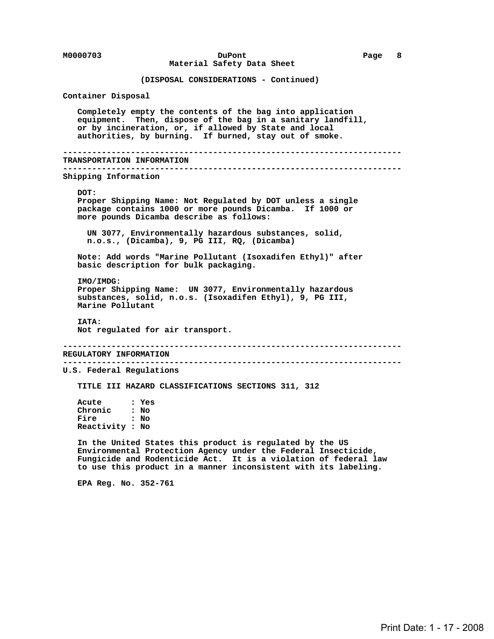## **M0000703 DuPont Page 8 Material Safety Data Sheet**

 **(DISPOSAL CONSIDERATIONS - Continued)**

 **Container Disposal**

 **Completely empty the contents of the bag into application equipment. Then, dispose of the bag in a sanitary landfill, or by incineration, or, if allowed by State and local authorities, by burning. If burned, stay out of smoke.**

```
 ----------------------------------------------------------------------
TRANSPORTATION INFORMATION
```
 **----------------------------------------------------------------------**

 **Shipping Information**

#### **DOT:**

 **Proper Shipping Name: Not Regulated by DOT unless a single package contains 1000 or more pounds Dicamba. If 1000 or more pounds Dicamba describe as follows:**

 **UN 3077, Environmentally hazardous substances, solid, n.o.s., (Dicamba), 9, PG III, RQ, (Dicamba)**

 **Note: Add words "Marine Pollutant (Isoxadifen Ethyl)" after basic description for bulk packaging.**

 **IMO/IMDG: Proper Shipping Name: UN 3077, Environmentally hazardous substances, solid, n.o.s. (Isoxadifen Ethyl), 9, PG III, Marine Pollutant**

 **IATA: Not regulated for air transport.**

 **---------------------------------------------------------------------- REGULATORY INFORMATION ----------------------------------------------------------------------**

 **U.S. Federal Regulations**

 **TITLE III HAZARD CLASSIFICATIONS SECTIONS 311, 312**

 **Acute : Yes Chronic : No Fire : No Reactivity : No**

 **In the United States this product is regulated by the US Environmental Protection Agency under the Federal Insecticide, Fungicide and Rodenticide Act. It is a violation of federal law to use this product in a manner inconsistent with its labeling.**

 **EPA Reg. No. 352-761**